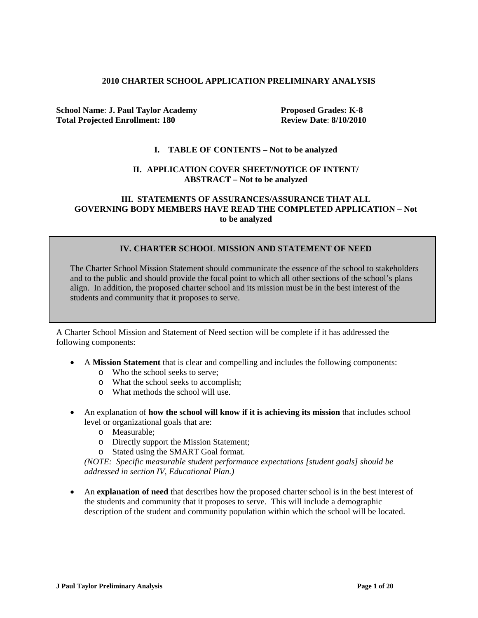#### **2010 CHARTER SCHOOL APPLICATION PRELIMINARY ANALYSIS**

**School Name: J. Paul Taylor Academy Proposed Grades: K-8 Total Projected Enrollment: 180 Review Date**: **8/10/2010**

#### **I. TABLE OF CONTENTS – Not to be analyzed**

#### **II. APPLICATION COVER SHEET/NOTICE OF INTENT/ ABSTRACT – Not to be analyzed**

### **III. STATEMENTS OF ASSURANCES/ASSURANCE THAT ALL GOVERNING BODY MEMBERS HAVE READ THE COMPLETED APPLICATION – Not to be analyzed**

### **IV. CHARTER SCHOOL MISSION AND STATEMENT OF NEED**

The Charter School Mission Statement should communicate the essence of the school to stakeholders and to the public and should provide the focal point to which all other sections of the school's plans align. In addition, the proposed charter school and its mission must be in the best interest of the students and community that it proposes to serve.

A Charter School Mission and Statement of Need section will be complete if it has addressed the following components:

- A **Mission Statement** that is clear and compelling and includes the following components:
	- o Who the school seeks to serve;
	- o What the school seeks to accomplish;
	- o What methods the school will use.
- An explanation of **how the school will know if it is achieving its mission** that includes school level or organizational goals that are:
	- o Measurable;
	- o Directly support the Mission Statement;
	- o Stated using the SMART Goal format.

*(NOTE: Specific measurable student performance expectations [student goals] should be addressed in section IV, Educational Plan.)*

• An **explanation of need** that describes how the proposed charter school is in the best interest of the students and community that it proposes to serve. This will include a demographic description of the student and community population within which the school will be located.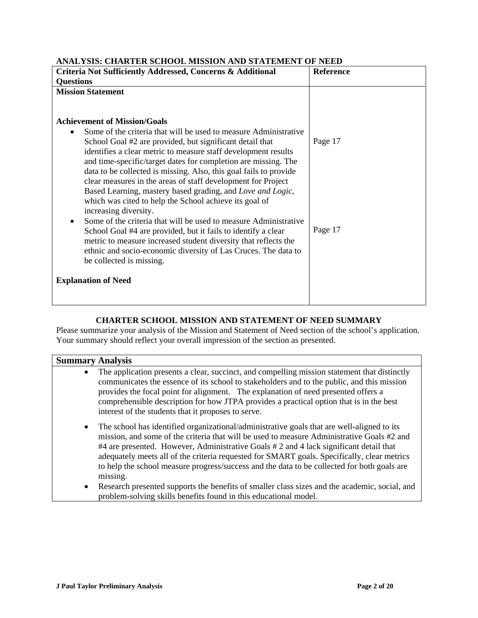| ANALIBID. CHARTER BCHOOL MIBBION AND BIATEMENT OF NEED                                                                                                                                                                                                                                                                                                                                                                                                                                                                                                               |           |  |
|----------------------------------------------------------------------------------------------------------------------------------------------------------------------------------------------------------------------------------------------------------------------------------------------------------------------------------------------------------------------------------------------------------------------------------------------------------------------------------------------------------------------------------------------------------------------|-----------|--|
| Criteria Not Sufficiently Addressed, Concerns & Additional                                                                                                                                                                                                                                                                                                                                                                                                                                                                                                           | Reference |  |
| <b>Questions</b>                                                                                                                                                                                                                                                                                                                                                                                                                                                                                                                                                     |           |  |
| <b>Mission Statement</b>                                                                                                                                                                                                                                                                                                                                                                                                                                                                                                                                             |           |  |
| <b>Achievement of Mission/Goals</b><br>Some of the criteria that will be used to measure Administrative<br>School Goal #2 are provided, but significant detail that<br>identifies a clear metric to measure staff development results<br>and time-specific/target dates for completion are missing. The<br>data to be collected is missing. Also, this goal fails to provide<br>clear measures in the areas of staff development for Project<br>Based Learning, mastery based grading, and Love and Logic,<br>which was cited to help the School achieve its goal of | Page 17   |  |
| increasing diversity.<br>Some of the criteria that will be used to measure Administrative<br>School Goal #4 are provided, but it fails to identify a clear<br>metric to measure increased student diversity that reflects the<br>ethnic and socio-economic diversity of Las Cruces. The data to<br>be collected is missing.                                                                                                                                                                                                                                          | Page 17   |  |
| <b>Explanation of Need</b>                                                                                                                                                                                                                                                                                                                                                                                                                                                                                                                                           |           |  |

# **ANALYSIS: CHARTER SCHOOL MISSION AND STATEMENT OF NEED**

# **CHARTER SCHOOL MISSION AND STATEMENT OF NEED SUMMARY**

Please summarize your analysis of the Mission and Statement of Need section of the school's application. Your summary should reflect your overall impression of the section as presented.

|           | <b>Summary Analysis</b>                                                                                                                                                                                                                                                                                                                                                                                                                                                                     |
|-----------|---------------------------------------------------------------------------------------------------------------------------------------------------------------------------------------------------------------------------------------------------------------------------------------------------------------------------------------------------------------------------------------------------------------------------------------------------------------------------------------------|
| $\bullet$ | The application presents a clear, succinct, and compelling mission statement that distinctly<br>communicates the essence of its school to stakeholders and to the public, and this mission<br>provides the focal point for alignment. The explanation of need presented offers a<br>comprehensible description for how JTPA provides a practical option that is in the best<br>interest of the students that it proposes to serve.                                                          |
| $\bullet$ | The school has identified organizational/administrative goals that are well-aligned to its<br>mission, and some of the criteria that will be used to measure Administrative Goals #2 and<br>#4 are presented. However, Administrative Goals #2 and 4 lack significant detail that<br>adequately meets all of the criteria requested for SMART goals. Specifically, clear metrics<br>to help the school measure progress/success and the data to be collected for both goals are<br>missing. |
| $\bullet$ | Research presented supports the benefits of smaller class sizes and the academic, social, and<br>problem-solving skills benefits found in this educational model.                                                                                                                                                                                                                                                                                                                           |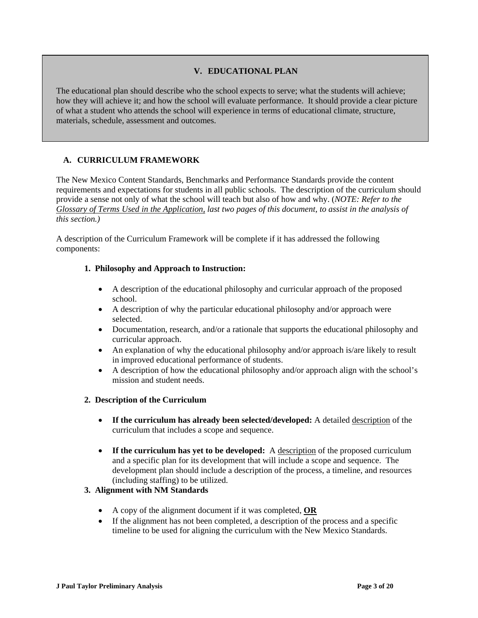## **V. EDUCATIONAL PLAN**

The educational plan should describe who the school expects to serve; what the students will achieve; how they will achieve it; and how the school will evaluate performance. It should provide a clear picture of what a student who attends the school will experience in terms of educational climate, structure, materials, schedule, assessment and outcomes.

### **A. CURRICULUM FRAMEWORK**

The New Mexico Content Standards, Benchmarks and Performance Standards provide the content requirements and expectations for students in all public schools. The description of the curriculum should provide a sense not only of what the school will teach but also of how and why. (*NOTE: Refer to the Glossary of Terms Used in the Application, last two pages of this document, to assist in the analysis of this section.)*

A description of the Curriculum Framework will be complete if it has addressed the following components:

### **1. Philosophy and Approach to Instruction:**

- A description of the educational philosophy and curricular approach of the proposed school.
- A description of why the particular educational philosophy and/or approach were selected.
- Documentation, research, and/or a rationale that supports the educational philosophy and curricular approach.
- An explanation of why the educational philosophy and/or approach is/are likely to result in improved educational performance of students.
- A description of how the educational philosophy and/or approach align with the school's mission and student needs.

### **2. Description of the Curriculum**

- **If the curriculum has already been selected/developed:** A detailed description of the curriculum that includes a scope and sequence.
- If the curriculum has yet to be developed: A description of the proposed curriculum and a specific plan for its development that will include a scope and sequence. The development plan should include a description of the process, a timeline, and resources (including staffing) to be utilized.

# **3. Alignment with NM Standards**

- A copy of the alignment document if it was completed, **OR**
- If the alignment has not been completed, a description of the process and a specific timeline to be used for aligning the curriculum with the New Mexico Standards.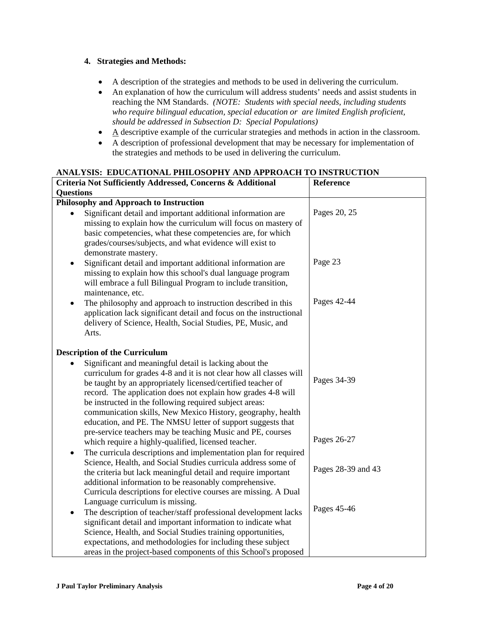### **4. Strategies and Methods:**

- A description of the strategies and methods to be used in delivering the curriculum.
- An explanation of how the curriculum will address students' needs and assist students in reaching the NM Standards. *(NOTE: Students with special needs, including students who require bilingual education, special education or are limited English proficient, should be addressed in Subsection D: Special Populations)*
- $\bullet$   $\Delta$  descriptive example of the curricular strategies and methods in action in the classroom.
- A description of professional development that may be necessary for implementation of the strategies and methods to be used in delivering the curriculum.

### **ANALYSIS: EDUCATIONAL PHILOSOPHY AND APPROACH TO INSTRUCTION**

| Criteria Not Sufficiently Addressed, Concerns & Additional                                                                                                                                                                                                                                                                                                                                                                                          | <b>Reference</b>   |
|-----------------------------------------------------------------------------------------------------------------------------------------------------------------------------------------------------------------------------------------------------------------------------------------------------------------------------------------------------------------------------------------------------------------------------------------------------|--------------------|
| <b>Questions</b>                                                                                                                                                                                                                                                                                                                                                                                                                                    |                    |
| Philosophy and Approach to Instruction                                                                                                                                                                                                                                                                                                                                                                                                              |                    |
| Significant detail and important additional information are<br>missing to explain how the curriculum will focus on mastery of<br>basic competencies, what these competencies are, for which<br>grades/courses/subjects, and what evidence will exist to<br>demonstrate mastery.                                                                                                                                                                     | Pages 20, 25       |
| Significant detail and important additional information are<br>$\bullet$<br>missing to explain how this school's dual language program<br>will embrace a full Bilingual Program to include transition,<br>maintenance, etc.                                                                                                                                                                                                                         | Page 23            |
| The philosophy and approach to instruction described in this<br>$\bullet$<br>application lack significant detail and focus on the instructional<br>delivery of Science, Health, Social Studies, PE, Music, and<br>Arts.                                                                                                                                                                                                                             | Pages 42-44        |
| <b>Description of the Curriculum</b>                                                                                                                                                                                                                                                                                                                                                                                                                |                    |
| Significant and meaningful detail is lacking about the<br>curriculum for grades 4-8 and it is not clear how all classes will<br>be taught by an appropriately licensed/certified teacher of<br>record. The application does not explain how grades 4-8 will<br>be instructed in the following required subject areas:<br>communication skills, New Mexico History, geography, health<br>education, and PE. The NMSU letter of support suggests that | Pages 34-39        |
| pre-service teachers may be teaching Music and PE, courses<br>which require a highly-qualified, licensed teacher.                                                                                                                                                                                                                                                                                                                                   | Pages 26-27        |
| The curricula descriptions and implementation plan for required<br>$\bullet$<br>Science, Health, and Social Studies curricula address some of<br>the criteria but lack meaningful detail and require important<br>additional information to be reasonably comprehensive.<br>Curricula descriptions for elective courses are missing. A Dual                                                                                                         | Pages 28-39 and 43 |
| Language curriculum is missing.<br>The description of teacher/staff professional development lacks<br>$\bullet$<br>significant detail and important information to indicate what<br>Science, Health, and Social Studies training opportunities,<br>expectations, and methodologies for including these subject                                                                                                                                      | Pages 45-46        |
| areas in the project-based components of this School's proposed                                                                                                                                                                                                                                                                                                                                                                                     |                    |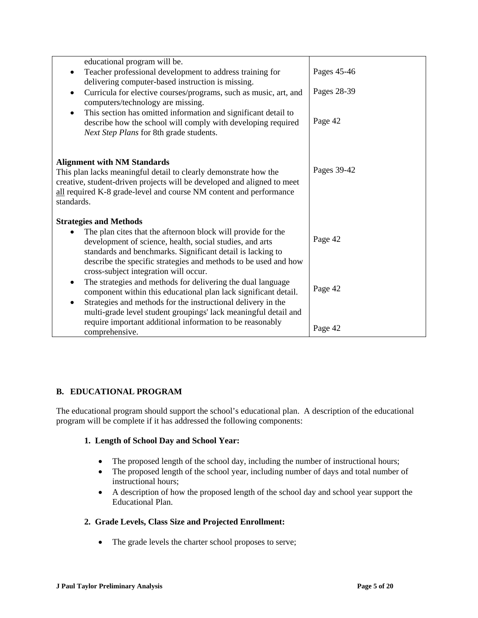| educational program will be.                                                     |             |
|----------------------------------------------------------------------------------|-------------|
| Teacher professional development to address training for<br>$\bullet$            | Pages 45-46 |
| delivering computer-based instruction is missing.                                |             |
| Curricula for elective courses/programs, such as music, art, and<br>$\bullet$    | Pages 28-39 |
| computers/technology are missing.                                                |             |
| This section has omitted information and significant detail to<br>$\bullet$      |             |
| describe how the school will comply with developing required                     | Page 42     |
| Next Step Plans for 8th grade students.                                          |             |
|                                                                                  |             |
|                                                                                  |             |
| <b>Alignment with NM Standards</b>                                               |             |
| This plan lacks meaningful detail to clearly demonstrate how the                 | Pages 39-42 |
| creative, student-driven projects will be developed and aligned to meet          |             |
| all required K-8 grade-level and course NM content and performance<br>standards. |             |
|                                                                                  |             |
| <b>Strategies and Methods</b>                                                    |             |
| The plan cites that the afternoon block will provide for the                     |             |
| development of science, health, social studies, and arts                         | Page 42     |
| standards and benchmarks. Significant detail is lacking to                       |             |
| describe the specific strategies and methods to be used and how                  |             |
| cross-subject integration will occur.                                            |             |
| The strategies and methods for delivering the dual language<br>٠                 | Page 42     |
| component within this educational plan lack significant detail.                  |             |
| Strategies and methods for the instructional delivery in the<br>$\bullet$        |             |
| multi-grade level student groupings' lack meaningful detail and                  |             |
| require important additional information to be reasonably                        | Page 42     |
| comprehensive.                                                                   |             |

# **B. EDUCATIONAL PROGRAM**

The educational program should support the school's educational plan. A description of the educational program will be complete if it has addressed the following components:

### **1. Length of School Day and School Year:**

- The proposed length of the school day, including the number of instructional hours;
- The proposed length of the school year, including number of days and total number of instructional hours;
- A description of how the proposed length of the school day and school year support the Educational Plan.

# **2. Grade Levels, Class Size and Projected Enrollment:**

• The grade levels the charter school proposes to serve;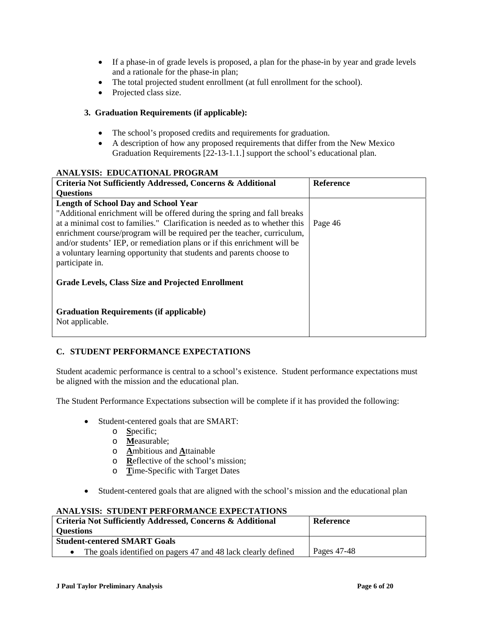- If a phase-in of grade levels is proposed, a plan for the phase-in by year and grade levels and a rationale for the phase-in plan;
- The total projected student enrollment (at full enrollment for the school).
- Projected class size.

### **3. Graduation Requirements (if applicable):**

- The school's proposed credits and requirements for graduation.
- A description of how any proposed requirements that differ from the New Mexico Graduation Requirements [22-13-1.1.] support the school's educational plan.

### **ANALYSIS: EDUCATIONAL PROGRAM**

| Criteria Not Sufficiently Addressed, Concerns & Additional                 | <b>Reference</b> |
|----------------------------------------------------------------------------|------------------|
| <b>Questions</b>                                                           |                  |
| <b>Length of School Day and School Year</b>                                |                  |
| "Additional enrichment will be offered during the spring and fall breaks   |                  |
| at a minimal cost to families." Clarification is needed as to whether this | Page 46          |
| enrichment course/program will be required per the teacher, curriculum,    |                  |
| and/or students' IEP, or remediation plans or if this enrichment will be   |                  |
| a voluntary learning opportunity that students and parents choose to       |                  |
| participate in.                                                            |                  |
|                                                                            |                  |
| <b>Grade Levels, Class Size and Projected Enrollment</b>                   |                  |
|                                                                            |                  |
| <b>Graduation Requirements (if applicable)</b>                             |                  |
| Not applicable.                                                            |                  |
|                                                                            |                  |

# **C. STUDENT PERFORMANCE EXPECTATIONS**

Student academic performance is central to a school's existence. Student performance expectations must be aligned with the mission and the educational plan.

The Student Performance Expectations subsection will be complete if it has provided the following:

- Student-centered goals that are SMART:
	- o **S**pecific;
	- o **M**easurable;
	- o **A**mbitious and **A**ttainable
	- o **R**eflective of the school's mission;
	- o **T**ime-Specific with Target Dates
- Student-centered goals that are aligned with the school's mission and the educational plan

### **ANALYSIS: STUDENT PERFORMANCE EXPECTATIONS**

| Criteria Not Sufficiently Addressed, Concerns & Additional    | Reference   |
|---------------------------------------------------------------|-------------|
| Questions                                                     |             |
| <b>Student-centered SMART Goals</b>                           |             |
| The goals identified on pagers 47 and 48 lack clearly defined | Pages 47-48 |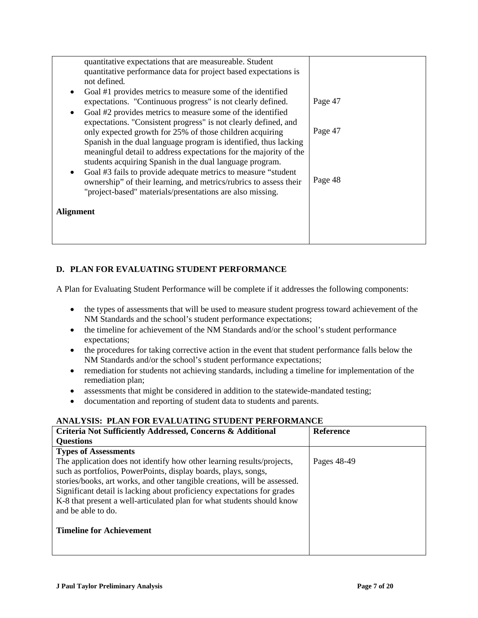| quantitative expectations that are measureable. Student<br>quantitative performance data for project based expectations is<br>not defined.<br>Goal #1 provides metrics to measure some of the identified<br>$\bullet$<br>expectations. "Continuous progress" is not clearly defined.<br>Goal #2 provides metrics to measure some of the identified<br>$\bullet$<br>expectations. "Consistent progress" is not clearly defined, and<br>only expected growth for 25% of those children acquiring<br>Spanish in the dual language program is identified, thus lacking<br>meaningful detail to address expectations for the majority of the<br>students acquiring Spanish in the dual language program.<br>Goal #3 fails to provide adequate metrics to measure "student"<br>$\bullet$<br>ownership" of their learning, and metrics/rubrics to assess their | Page 47<br>Page 47<br>Page 48 |
|---------------------------------------------------------------------------------------------------------------------------------------------------------------------------------------------------------------------------------------------------------------------------------------------------------------------------------------------------------------------------------------------------------------------------------------------------------------------------------------------------------------------------------------------------------------------------------------------------------------------------------------------------------------------------------------------------------------------------------------------------------------------------------------------------------------------------------------------------------|-------------------------------|
| "project-based" materials/presentations are also missing.<br><b>Alignment</b>                                                                                                                                                                                                                                                                                                                                                                                                                                                                                                                                                                                                                                                                                                                                                                           |                               |

# **D. PLAN FOR EVALUATING STUDENT PERFORMANCE**

A Plan for Evaluating Student Performance will be complete if it addresses the following components:

- the types of assessments that will be used to measure student progress toward achievement of the NM Standards and the school's student performance expectations;
- the timeline for achievement of the NM Standards and/or the school's student performance expectations;
- the procedures for taking corrective action in the event that student performance falls below the NM Standards and/or the school's student performance expectations;
- remediation for students not achieving standards, including a timeline for implementation of the remediation plan;
- assessments that might be considered in addition to the statewide-mandated testing;
- documentation and reporting of student data to students and parents.

# **ANALYSIS: PLAN FOR EVALUATING STUDENT PERFORMANCE**

| Criteria Not Sufficiently Addressed, Concerns & Additional                                                                                                                                                                                                                                                                                                                                       | <b>Reference</b> |
|--------------------------------------------------------------------------------------------------------------------------------------------------------------------------------------------------------------------------------------------------------------------------------------------------------------------------------------------------------------------------------------------------|------------------|
| <b>Questions</b>                                                                                                                                                                                                                                                                                                                                                                                 |                  |
| <b>Types of Assessments</b>                                                                                                                                                                                                                                                                                                                                                                      |                  |
| The application does not identify how other learning results/projects,<br>such as portfolios, PowerPoints, display boards, plays, songs,<br>stories/books, art works, and other tangible creations, will be assessed.<br>Significant detail is lacking about proficiency expectations for grades<br>K-8 that present a well-articulated plan for what students should know<br>and be able to do. | Pages 48-49      |
| <b>Timeline for Achievement</b>                                                                                                                                                                                                                                                                                                                                                                  |                  |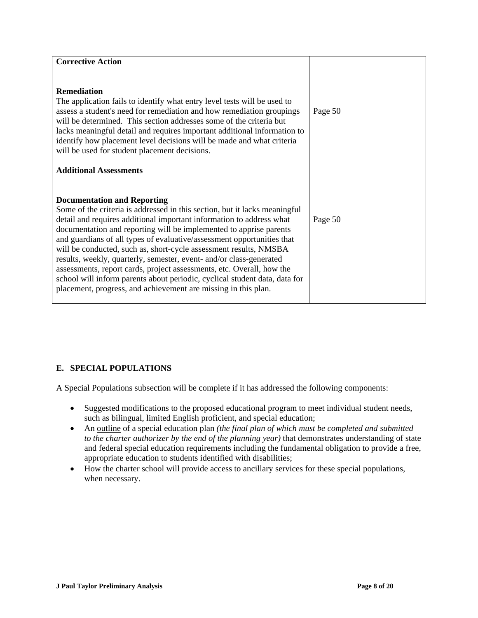| <b>Corrective Action</b><br><b>Remediation</b><br>The application fails to identify what entry level tests will be used to<br>assess a student's need for remediation and how remediation groupings<br>will be determined. This section addresses some of the criteria but                                                                                                                                                                                                                                        | Page 50 |
|-------------------------------------------------------------------------------------------------------------------------------------------------------------------------------------------------------------------------------------------------------------------------------------------------------------------------------------------------------------------------------------------------------------------------------------------------------------------------------------------------------------------|---------|
| lacks meaningful detail and requires important additional information to<br>identify how placement level decisions will be made and what criteria<br>will be used for student placement decisions.<br><b>Additional Assessments</b>                                                                                                                                                                                                                                                                               |         |
| <b>Documentation and Reporting</b><br>Some of the criteria is addressed in this section, but it lacks meaningful<br>detail and requires additional important information to address what                                                                                                                                                                                                                                                                                                                          | Page 50 |
| documentation and reporting will be implemented to apprise parents<br>and guardians of all types of evaluative/assessment opportunities that<br>will be conducted, such as, short-cycle assessment results, NMSBA<br>results, weekly, quarterly, semester, event- and/or class-generated<br>assessments, report cards, project assessments, etc. Overall, how the<br>school will inform parents about periodic, cyclical student data, data for<br>placement, progress, and achievement are missing in this plan. |         |

# **E. SPECIAL POPULATIONS**

A Special Populations subsection will be complete if it has addressed the following components:

- Suggested modifications to the proposed educational program to meet individual student needs, such as bilingual, limited English proficient, and special education;
- An outline of a special education plan *(the final plan of which must be completed and submitted to the charter authorizer by the end of the planning year)* that demonstrates understanding of state and federal special education requirements including the fundamental obligation to provide a free, appropriate education to students identified with disabilities;
- How the charter school will provide access to ancillary services for these special populations, when necessary.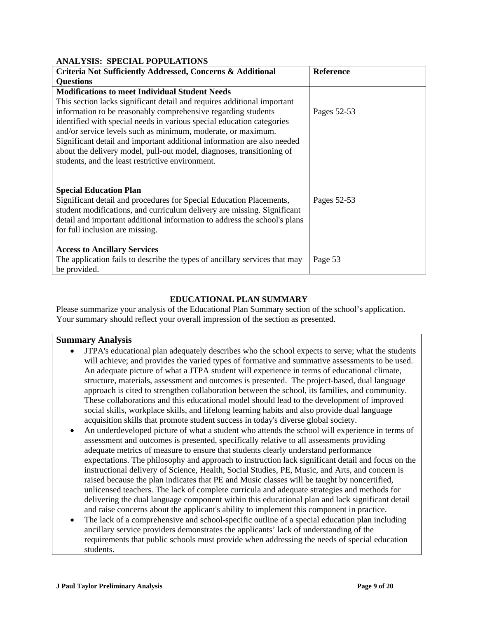### **ANALYSIS: SPECIAL POPULATIONS**

| Criteria Not Sufficiently Addressed, Concerns & Additional                 | <b>Reference</b> |
|----------------------------------------------------------------------------|------------------|
| <b>Questions</b>                                                           |                  |
| <b>Modifications to meet Individual Student Needs</b>                      |                  |
| This section lacks significant detail and requires additional important    |                  |
| information to be reasonably comprehensive regarding students              | Pages 52-53      |
| identified with special needs in various special education categories      |                  |
| and/or service levels such as minimum, moderate, or maximum.               |                  |
| Significant detail and important additional information are also needed    |                  |
| about the delivery model, pull-out model, diagnoses, transitioning of      |                  |
| students, and the least restrictive environment.                           |                  |
|                                                                            |                  |
|                                                                            |                  |
| <b>Special Education Plan</b>                                              |                  |
| Significant detail and procedures for Special Education Placements,        | Pages 52-53      |
| student modifications, and curriculum delivery are missing. Significant    |                  |
| detail and important additional information to address the school's plans  |                  |
| for full inclusion are missing.                                            |                  |
|                                                                            |                  |
| <b>Access to Ancillary Services</b>                                        |                  |
| The application fails to describe the types of ancillary services that may | Page 53          |
| be provided.                                                               |                  |

### **EDUCATIONAL PLAN SUMMARY**

Please summarize your analysis of the Educational Plan Summary section of the school's application. Your summary should reflect your overall impression of the section as presented.

#### **Summary Analysis**

- JTPA's educational plan adequately describes who the school expects to serve; what the students will achieve; and provides the varied types of formative and summative assessments to be used. An adequate picture of what a JTPA student will experience in terms of educational climate, structure, materials, assessment and outcomes is presented. The project-based, dual language approach is cited to strengthen collaboration between the school, its families, and community. These collaborations and this educational model should lead to the development of improved social skills, workplace skills, and lifelong learning habits and also provide dual language acquisition skills that promote student success in today's diverse global society.
- An underdeveloped picture of what a student who attends the school will experience in terms of assessment and outcomes is presented, specifically relative to all assessments providing adequate metrics of measure to ensure that students clearly understand performance expectations. The philosophy and approach to instruction lack significant detail and focus on the instructional delivery of Science, Health, Social Studies, PE, Music, and Arts, and concern is raised because the plan indicates that PE and Music classes will be taught by noncertified, unlicensed teachers. The lack of complete curricula and adequate strategies and methods for delivering the dual language component within this educational plan and lack significant detail and raise concerns about the applicant's ability to implement this component in practice.
- The lack of a comprehensive and school-specific outline of a special education plan including ancillary service providers demonstrates the applicants' lack of understanding of the requirements that public schools must provide when addressing the needs of special education students.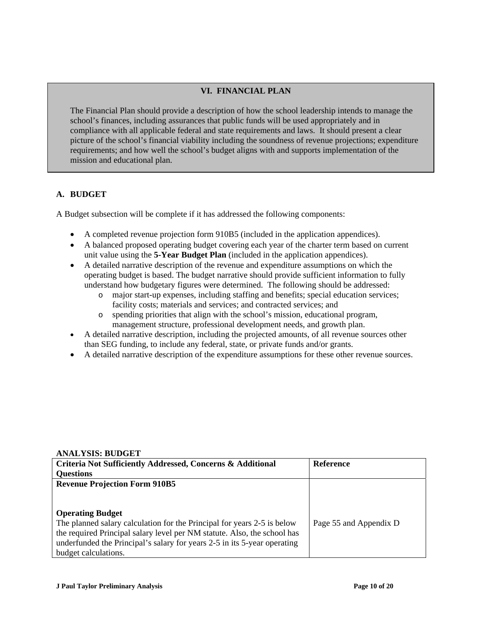## **VI. FINANCIAL PLAN**

The Financial Plan should provide a description of how the school leadership intends to manage the school's finances, including assurances that public funds will be used appropriately and in compliance with all applicable federal and state requirements and laws. It should present a clear picture of the school's financial viability including the soundness of revenue projections; expenditure requirements; and how well the school's budget aligns with and supports implementation of the mission and educational plan.

### **A. BUDGET**

A Budget subsection will be complete if it has addressed the following components:

- A completed revenue projection form 910B5 (included in the application appendices).
- A balanced proposed operating budget covering each year of the charter term based on current unit value using the **5-Year Budget Plan** (included in the application appendices).
- A detailed narrative description of the revenue and expenditure assumptions on which the operating budget is based. The budget narrative should provide sufficient information to fully understand how budgetary figures were determined. The following should be addressed:
	- o major start-up expenses, including staffing and benefits; special education services; facility costs; materials and services; and contracted services; and
	- o spending priorities that align with the school's mission, educational program, management structure, professional development needs, and growth plan.
- A detailed narrative description, including the projected amounts, of all revenue sources other than SEG funding, to include any federal, state, or private funds and/or grants.
- A detailed narrative description of the expenditure assumptions for these other revenue sources.

#### **ANALYSIS: BUDGET**

| Criteria Not Sufficiently Addressed, Concerns & Additional               | <b>Reference</b>       |
|--------------------------------------------------------------------------|------------------------|
| <b>Questions</b>                                                         |                        |
| <b>Revenue Projection Form 910B5</b>                                     |                        |
|                                                                          |                        |
|                                                                          |                        |
| <b>Operating Budget</b>                                                  |                        |
| The planned salary calculation for the Principal for years 2-5 is below  | Page 55 and Appendix D |
| the required Principal salary level per NM statute. Also, the school has |                        |
| underfunded the Principal's salary for years 2-5 in its 5-year operating |                        |
| budget calculations.                                                     |                        |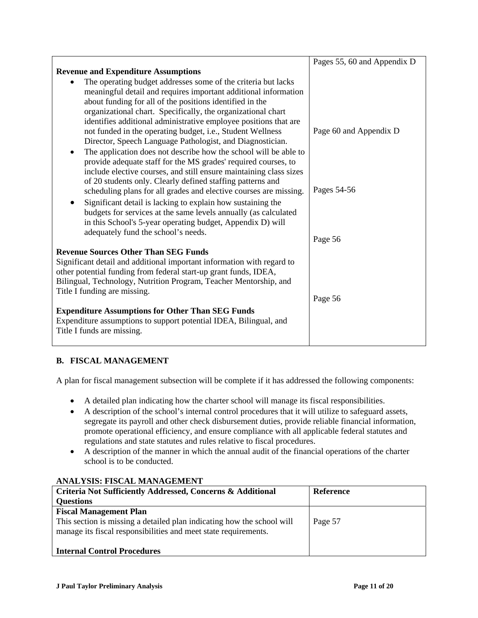|                                                                                                                                 | Pages 55, 60 and Appendix D |
|---------------------------------------------------------------------------------------------------------------------------------|-----------------------------|
| <b>Revenue and Expenditure Assumptions</b>                                                                                      |                             |
| The operating budget addresses some of the criteria but lacks                                                                   |                             |
| meaningful detail and requires important additional information                                                                 |                             |
| about funding for all of the positions identified in the                                                                        |                             |
| organizational chart. Specifically, the organizational chart                                                                    |                             |
| identifies additional administrative employee positions that are                                                                |                             |
| not funded in the operating budget, i.e., Student Wellness                                                                      | Page 60 and Appendix D      |
| Director, Speech Language Pathologist, and Diagnostician.                                                                       |                             |
| The application does not describe how the school will be able to<br>$\bullet$                                                   |                             |
| provide adequate staff for the MS grades' required courses, to                                                                  |                             |
| include elective courses, and still ensure maintaining class sizes                                                              |                             |
| of 20 students only. Clearly defined staffing patterns and<br>scheduling plans for all grades and elective courses are missing. | Pages 54-56                 |
|                                                                                                                                 |                             |
| Significant detail is lacking to explain how sustaining the<br>budgets for services at the same levels annually (as calculated  |                             |
| in this School's 5-year operating budget, Appendix D) will                                                                      |                             |
| adequately fund the school's needs.                                                                                             |                             |
|                                                                                                                                 | Page 56                     |
| <b>Revenue Sources Other Than SEG Funds</b>                                                                                     |                             |
| Significant detail and additional important information with regard to                                                          |                             |
| other potential funding from federal start-up grant funds, IDEA,                                                                |                             |
| Bilingual, Technology, Nutrition Program, Teacher Mentorship, and                                                               |                             |
| Title I funding are missing.                                                                                                    |                             |
|                                                                                                                                 | Page 56                     |
| <b>Expenditure Assumptions for Other Than SEG Funds</b>                                                                         |                             |
| Expenditure assumptions to support potential IDEA, Bilingual, and                                                               |                             |
| Title I funds are missing.                                                                                                      |                             |
|                                                                                                                                 |                             |

# **B. FISCAL MANAGEMENT**

A plan for fiscal management subsection will be complete if it has addressed the following components:

- A detailed plan indicating how the charter school will manage its fiscal responsibilities.
- A description of the school's internal control procedures that it will utilize to safeguard assets, segregate its payroll and other check disbursement duties, provide reliable financial information, promote operational efficiency, and ensure compliance with all applicable federal statutes and regulations and state statutes and rules relative to fiscal procedures.
- A description of the manner in which the annual audit of the financial operations of the charter school is to be conducted.

# **ANALYSIS: FISCAL MANAGEMENT**

| <b>Criteria Not Sufficiently Addressed, Concerns &amp; Additional</b>                                                                                                      | <b>Reference</b> |
|----------------------------------------------------------------------------------------------------------------------------------------------------------------------------|------------------|
| <b>Questions</b>                                                                                                                                                           |                  |
| <b>Fiscal Management Plan</b><br>This section is missing a detailed plan indicating how the school will<br>manage its fiscal responsibilities and meet state requirements. | Page 57          |
| <b>Internal Control Procedures</b>                                                                                                                                         |                  |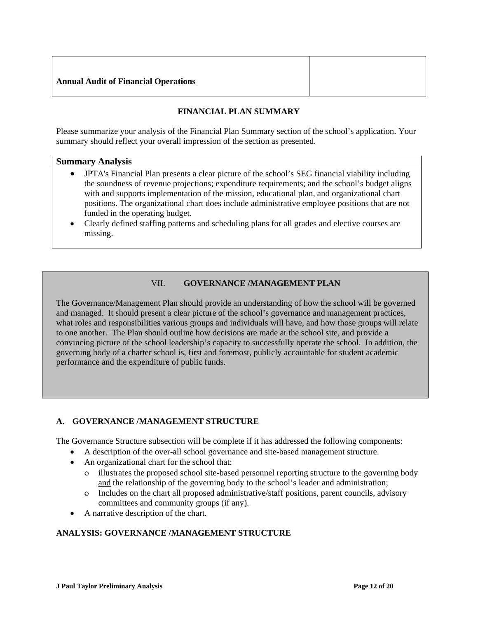### **Annual Audit of Financial Operations**

# **FINANCIAL PLAN SUMMARY**

Please summarize your analysis of the Financial Plan Summary section of the school's application. Your summary should reflect your overall impression of the section as presented.

#### **Summary Analysis**

- JPTA's Financial Plan presents a clear picture of the school's SEG financial viability including the soundness of revenue projections; expenditure requirements; and the school's budget aligns with and supports implementation of the mission, educational plan, and organizational chart positions. The organizational chart does include administrative employee positions that are not funded in the operating budget.
- Clearly defined staffing patterns and scheduling plans for all grades and elective courses are missing.

# VII. **GOVERNANCE /MANAGEMENT PLAN**

The Governance/Management Plan should provide an understanding of how the school will be governed and managed. It should present a clear picture of the school's governance and management practices, what roles and responsibilities various groups and individuals will have, and how those groups will relate to one another. The Plan should outline how decisions are made at the school site, and provide a convincing picture of the school leadership's capacity to successfully operate the school. In addition, the governing body of a charter school is, first and foremost, publicly accountable for student academic performance and the expenditure of public funds.

### **A. GOVERNANCE /MANAGEMENT STRUCTURE**

The Governance Structure subsection will be complete if it has addressed the following components:

- A description of the over-all school governance and site-based management structure.
- An organizational chart for the school that:
	- ο illustrates the proposed school site-based personnel reporting structure to the governing body and the relationship of the governing body to the school's leader and administration;
	- ο Includes on the chart all proposed administrative/staff positions, parent councils, advisory committees and community groups (if any).
- A narrative description of the chart.

### **ANALYSIS: GOVERNANCE /MANAGEMENT STRUCTURE**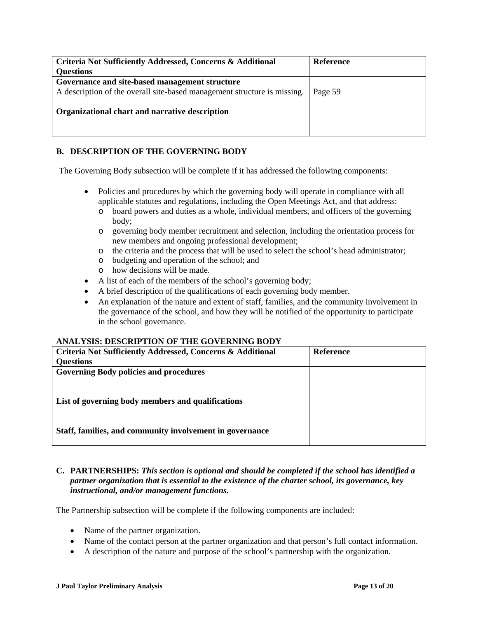| Criteria Not Sufficiently Addressed, Concerns & Additional<br><b>Questions</b>                                             | Reference |
|----------------------------------------------------------------------------------------------------------------------------|-----------|
| Governance and site-based management structure<br>A description of the overall site-based management structure is missing. | Page 59   |
| Organizational chart and narrative description                                                                             |           |

## **B. DESCRIPTION OF THE GOVERNING BODY**

The Governing Body subsection will be complete if it has addressed the following components:

- Policies and procedures by which the governing body will operate in compliance with all applicable statutes and regulations, including the Open Meetings Act, and that address:
	- o board powers and duties as a whole, individual members, and officers of the governing body;
	- o governing body member recruitment and selection, including the orientation process for new members and ongoing professional development;
	- o the criteria and the process that will be used to select the school's head administrator;
	- o budgeting and operation of the school; and
	- o how decisions will be made.
- A list of each of the members of the school's governing body;
- A brief description of the qualifications of each governing body member.
- An explanation of the nature and extent of staff, families, and the community involvement in the governance of the school, and how they will be notified of the opportunity to participate in the school governance.

### **ANALYSIS: DESCRIPTION OF THE GOVERNING BODY**

| <b>Criteria Not Sufficiently Addressed, Concerns &amp; Additional</b> | <b>Reference</b> |
|-----------------------------------------------------------------------|------------------|
| <b>Questions</b>                                                      |                  |
| <b>Governing Body policies and procedures</b>                         |                  |
|                                                                       |                  |
| List of governing body members and qualifications                     |                  |
| Staff, families, and community involvement in governance              |                  |

### **C. PARTNERSHIPS:** *This section is optional and should be completed if the school has identified a partner organization that is essential to the existence of the charter school, its governance, key instructional, and/or management functions.*

The Partnership subsection will be complete if the following components are included:

- Name of the partner organization.
- Name of the contact person at the partner organization and that person's full contact information.
- A description of the nature and purpose of the school's partnership with the organization.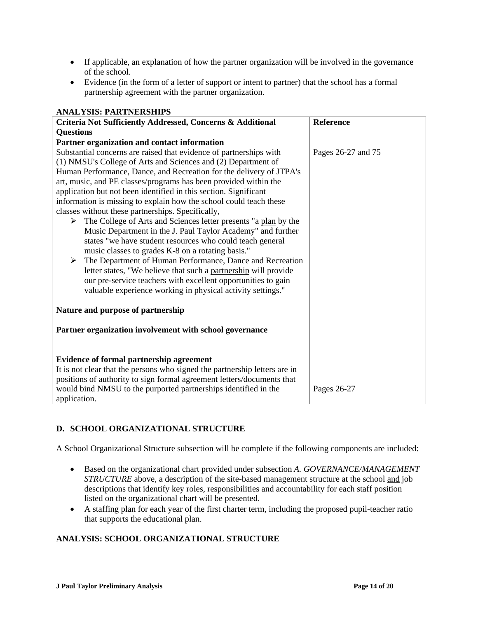- If applicable, an explanation of how the partner organization will be involved in the governance of the school.
- Evidence (in the form of a letter of support or intent to partner) that the school has a formal partnership agreement with the partner organization.

| ARAL I BIB. I ARTRENBILI B                                                               |                  |  |
|------------------------------------------------------------------------------------------|------------------|--|
| Criteria Not Sufficiently Addressed, Concerns & Additional                               | <b>Reference</b> |  |
| <b>Questions</b>                                                                         |                  |  |
| Partner organization and contact information                                             |                  |  |
| Substantial concerns are raised that evidence of partnerships with<br>Pages 26-27 and 75 |                  |  |
| (1) NMSU's College of Arts and Sciences and (2) Department of                            |                  |  |
| Human Performance, Dance, and Recreation for the delivery of JTPA's                      |                  |  |
| art, music, and PE classes/programs has been provided within the                         |                  |  |
| application but not been identified in this section. Significant                         |                  |  |
| information is missing to explain how the school could teach these                       |                  |  |
| classes without these partnerships. Specifically,                                        |                  |  |
| $\triangleright$ The College of Arts and Sciences letter presents "a plan by the         |                  |  |
| Music Department in the J. Paul Taylor Academy" and further                              |                  |  |
| states "we have student resources who could teach general                                |                  |  |
| music classes to grades K-8 on a rotating basis."                                        |                  |  |
| The Department of Human Performance, Dance and Recreation<br>➤                           |                  |  |
| letter states, "We believe that such a partnership will provide                          |                  |  |
| our pre-service teachers with excellent opportunities to gain                            |                  |  |
| valuable experience working in physical activity settings."                              |                  |  |
|                                                                                          |                  |  |
| Nature and purpose of partnership                                                        |                  |  |
|                                                                                          |                  |  |
| Partner organization involvement with school governance                                  |                  |  |
|                                                                                          |                  |  |
| <b>Evidence of formal partnership agreement</b>                                          |                  |  |
| It is not clear that the persons who signed the partnership letters are in               |                  |  |
| positions of authority to sign formal agreement letters/documents that                   |                  |  |
| would bind NMSU to the purported partnerships identified in the                          |                  |  |
| Pages 26-27                                                                              |                  |  |
| application.                                                                             |                  |  |

# **ANALYSIS: PARTNERSHIPS**

# **D. SCHOOL ORGANIZATIONAL STRUCTURE**

A School Organizational Structure subsection will be complete if the following components are included:

- Based on the organizational chart provided under subsection *A. GOVERNANCE/MANAGEMENT STRUCTURE* above, a description of the site-based management structure at the school and job descriptions that identify key roles, responsibilities and accountability for each staff position listed on the organizational chart will be presented.
- A staffing plan for each year of the first charter term, including the proposed pupil-teacher ratio that supports the educational plan.

# **ANALYSIS: SCHOOL ORGANIZATIONAL STRUCTURE**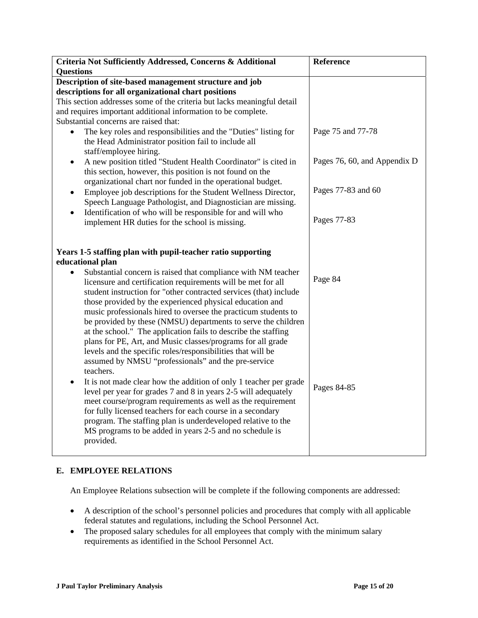| Criteria Not Sufficiently Addressed, Concerns & Additional                                                                                                                                                                                                                                                                                                                                                                                                                                                                                                                                                                                                                                                                                                                                                                                                                                                                                                                                                                                                                                                                                                                                     | Reference                    |
|------------------------------------------------------------------------------------------------------------------------------------------------------------------------------------------------------------------------------------------------------------------------------------------------------------------------------------------------------------------------------------------------------------------------------------------------------------------------------------------------------------------------------------------------------------------------------------------------------------------------------------------------------------------------------------------------------------------------------------------------------------------------------------------------------------------------------------------------------------------------------------------------------------------------------------------------------------------------------------------------------------------------------------------------------------------------------------------------------------------------------------------------------------------------------------------------|------------------------------|
| <b>Questions</b>                                                                                                                                                                                                                                                                                                                                                                                                                                                                                                                                                                                                                                                                                                                                                                                                                                                                                                                                                                                                                                                                                                                                                                               |                              |
| Description of site-based management structure and job                                                                                                                                                                                                                                                                                                                                                                                                                                                                                                                                                                                                                                                                                                                                                                                                                                                                                                                                                                                                                                                                                                                                         |                              |
| descriptions for all organizational chart positions                                                                                                                                                                                                                                                                                                                                                                                                                                                                                                                                                                                                                                                                                                                                                                                                                                                                                                                                                                                                                                                                                                                                            |                              |
| This section addresses some of the criteria but lacks meaningful detail                                                                                                                                                                                                                                                                                                                                                                                                                                                                                                                                                                                                                                                                                                                                                                                                                                                                                                                                                                                                                                                                                                                        |                              |
| and requires important additional information to be complete.                                                                                                                                                                                                                                                                                                                                                                                                                                                                                                                                                                                                                                                                                                                                                                                                                                                                                                                                                                                                                                                                                                                                  |                              |
| Substantial concerns are raised that:                                                                                                                                                                                                                                                                                                                                                                                                                                                                                                                                                                                                                                                                                                                                                                                                                                                                                                                                                                                                                                                                                                                                                          |                              |
| The key roles and responsibilities and the "Duties" listing for<br>$\bullet$<br>the Head Administrator position fail to include all<br>staff/employee hiring.                                                                                                                                                                                                                                                                                                                                                                                                                                                                                                                                                                                                                                                                                                                                                                                                                                                                                                                                                                                                                                  | Page 75 and 77-78            |
| A new position titled "Student Health Coordinator" is cited in<br>٠                                                                                                                                                                                                                                                                                                                                                                                                                                                                                                                                                                                                                                                                                                                                                                                                                                                                                                                                                                                                                                                                                                                            | Pages 76, 60, and Appendix D |
| this section, however, this position is not found on the                                                                                                                                                                                                                                                                                                                                                                                                                                                                                                                                                                                                                                                                                                                                                                                                                                                                                                                                                                                                                                                                                                                                       |                              |
| organizational chart nor funded in the operational budget.                                                                                                                                                                                                                                                                                                                                                                                                                                                                                                                                                                                                                                                                                                                                                                                                                                                                                                                                                                                                                                                                                                                                     |                              |
| Employee job descriptions for the Student Wellness Director,<br>$\bullet$                                                                                                                                                                                                                                                                                                                                                                                                                                                                                                                                                                                                                                                                                                                                                                                                                                                                                                                                                                                                                                                                                                                      | Pages 77-83 and 60           |
| Speech Language Pathologist, and Diagnostician are missing.                                                                                                                                                                                                                                                                                                                                                                                                                                                                                                                                                                                                                                                                                                                                                                                                                                                                                                                                                                                                                                                                                                                                    |                              |
| Identification of who will be responsible for and will who<br>$\bullet$                                                                                                                                                                                                                                                                                                                                                                                                                                                                                                                                                                                                                                                                                                                                                                                                                                                                                                                                                                                                                                                                                                                        |                              |
| implement HR duties for the school is missing.                                                                                                                                                                                                                                                                                                                                                                                                                                                                                                                                                                                                                                                                                                                                                                                                                                                                                                                                                                                                                                                                                                                                                 | Pages 77-83                  |
| Years 1-5 staffing plan with pupil-teacher ratio supporting<br>educational plan<br>Substantial concern is raised that compliance with NM teacher<br>$\bullet$<br>licensure and certification requirements will be met for all<br>student instruction for "other contracted services (that) include<br>those provided by the experienced physical education and<br>music professionals hired to oversee the practicum students to<br>be provided by these (NMSU) departments to serve the children<br>at the school." The application fails to describe the staffing<br>plans for PE, Art, and Music classes/programs for all grade<br>levels and the specific roles/responsibilities that will be<br>assumed by NMSU "professionals" and the pre-service<br>teachers.<br>It is not made clear how the addition of only 1 teacher per grade<br>$\bullet$<br>level per year for grades 7 and 8 in years 2-5 will adequately<br>meet course/program requirements as well as the requirement<br>for fully licensed teachers for each course in a secondary<br>program. The staffing plan is underdeveloped relative to the<br>MS programs to be added in years 2-5 and no schedule is<br>provided. | Page 84<br>Pages 84-85       |

# **E. EMPLOYEE RELATIONS**

An Employee Relations subsection will be complete if the following components are addressed:

- A description of the school's personnel policies and procedures that comply with all applicable federal statutes and regulations, including the School Personnel Act.
- The proposed salary schedules for all employees that comply with the minimum salary requirements as identified in the School Personnel Act.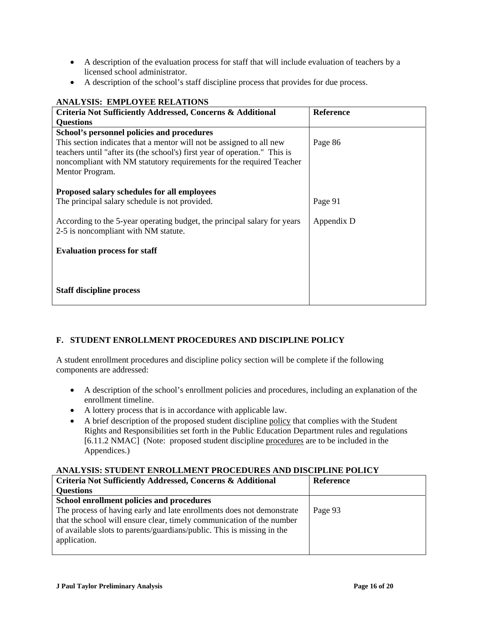- A description of the evaluation process for staff that will include evaluation of teachers by a licensed school administrator.
- A description of the school's staff discipline process that provides for due process.

| ANAL I SIS: EMPLOTEE KELATIONS                                                                                                                                                                                                                |                  |  |
|-----------------------------------------------------------------------------------------------------------------------------------------------------------------------------------------------------------------------------------------------|------------------|--|
| Criteria Not Sufficiently Addressed, Concerns & Additional                                                                                                                                                                                    | <b>Reference</b> |  |
| <b>Questions</b>                                                                                                                                                                                                                              |                  |  |
| School's personnel policies and procedures                                                                                                                                                                                                    |                  |  |
| This section indicates that a mentor will not be assigned to all new<br>teachers until "after its (the school's) first year of operation." This is<br>noncompliant with NM statutory requirements for the required Teacher<br>Mentor Program. | Page 86          |  |
| Proposed salary schedules for all employees                                                                                                                                                                                                   |                  |  |
| The principal salary schedule is not provided.                                                                                                                                                                                                | Page 91          |  |
| According to the 5-year operating budget, the principal salary for years<br>2-5 is noncompliant with NM statute.                                                                                                                              | Appendix D       |  |
| <b>Evaluation process for staff</b>                                                                                                                                                                                                           |                  |  |
|                                                                                                                                                                                                                                               |                  |  |
|                                                                                                                                                                                                                                               |                  |  |
| <b>Staff discipline process</b>                                                                                                                                                                                                               |                  |  |

## **ANALYSIS: EMPLOYEE RELATIONS**

# **F. STUDENT ENROLLMENT PROCEDURES AND DISCIPLINE POLICY**

A student enrollment procedures and discipline policy section will be complete if the following components are addressed:

- A description of the school's enrollment policies and procedures, including an explanation of the enrollment timeline.
- A lottery process that is in accordance with applicable law.
- A brief description of the proposed student discipline policy that complies with the Student Rights and Responsibilities set forth in the Public Education Department rules and regulations [6.11.2 NMAC] (Note: proposed student discipline procedures are to be included in the Appendices.)

## **ANALYSIS: STUDENT ENROLLMENT PROCEDURES AND DISCIPLINE POLICY**

| Criteria Not Sufficiently Addressed, Concerns & Additional             | Reference |
|------------------------------------------------------------------------|-----------|
| <b>Questions</b>                                                       |           |
| School enrollment policies and procedures                              |           |
| The process of having early and late enrollments does not demonstrate  | Page 93   |
| that the school will ensure clear, timely communication of the number  |           |
| of available slots to parents/guardians/public. This is missing in the |           |
| application.                                                           |           |
|                                                                        |           |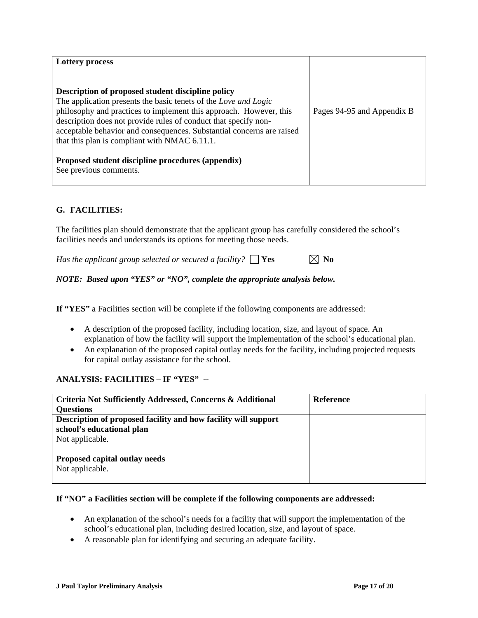| <b>Lottery process</b>                                                |                            |
|-----------------------------------------------------------------------|----------------------------|
|                                                                       |                            |
| Description of proposed student discipline policy                     |                            |
| The application presents the basic tenets of the Love and Logic       |                            |
| philosophy and practices to implement this approach. However, this    | Pages 94-95 and Appendix B |
| description does not provide rules of conduct that specify non-       |                            |
| acceptable behavior and consequences. Substantial concerns are raised |                            |
| that this plan is compliant with NMAC 6.11.1.                         |                            |
|                                                                       |                            |
| Proposed student discipline procedures (appendix)                     |                            |
| See previous comments.                                                |                            |
|                                                                       |                            |

# **G. FACILITIES:**

The facilities plan should demonstrate that the applicant group has carefully considered the school's facilities needs and understands its options for meeting those needs.

*Has the applicant group selected or secured a facility?*  $\Box$  **Yes**  $\Box$  **No** 

### *NOTE: Based upon "YES" or "NO", complete the appropriate analysis below.*

**If "YES"** a Facilities section will be complete if the following components are addressed:

- A description of the proposed facility, including location, size, and layout of space. An explanation of how the facility will support the implementation of the school's educational plan.
- An explanation of the proposed capital outlay needs for the facility, including projected requests for capital outlay assistance for the school.

# **ANALYSIS: FACILITIES – IF "YES" --**

| Criteria Not Sufficiently Addressed, Concerns & Additional     | <b>Reference</b> |
|----------------------------------------------------------------|------------------|
| <b>Questions</b>                                               |                  |
| Description of proposed facility and how facility will support |                  |
| school's educational plan                                      |                  |
| Not applicable.                                                |                  |
| Proposed capital outlay needs<br>Not applicable.               |                  |

#### **If "NO" a Facilities section will be complete if the following components are addressed:**

- An explanation of the school's needs for a facility that will support the implementation of the school's educational plan, including desired location, size, and layout of space.
- A reasonable plan for identifying and securing an adequate facility.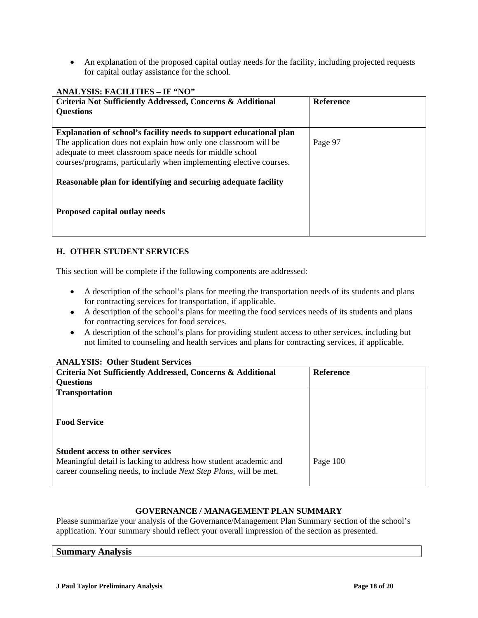• An explanation of the proposed capital outlay needs for the facility, including projected requests for capital outlay assistance for the school.

# **H. OTHER STUDENT SERVICES**

This section will be complete if the following components are addressed:

- A description of the school's plans for meeting the transportation needs of its students and plans for contracting services for transportation, if applicable.
- A description of the school's plans for meeting the food services needs of its students and plans for contracting services for food services.
- A description of the school's plans for providing student access to other services, including but not limited to counseling and health services and plans for contracting services, if applicable.

#### **ANALYSIS: Other Student Services**

| Criteria Not Sufficiently Addressed, Concerns & Additional                                                                                                                               | <b>Reference</b> |
|------------------------------------------------------------------------------------------------------------------------------------------------------------------------------------------|------------------|
| <b>Questions</b>                                                                                                                                                                         |                  |
| <b>Transportation</b>                                                                                                                                                                    |                  |
| <b>Food Service</b>                                                                                                                                                                      |                  |
| <b>Student access to other services</b><br>Meaningful detail is lacking to address how student academic and<br>career counseling needs, to include <i>Next Step Plans</i> , will be met. | Page 100         |

# **GOVERNANCE / MANAGEMENT PLAN SUMMARY**

Please summarize your analysis of the Governance/Management Plan Summary section of the school's application. Your summary should reflect your overall impression of the section as presented.

| $\sim$<br><b>Summary Analysis</b> |  |
|-----------------------------------|--|
|                                   |  |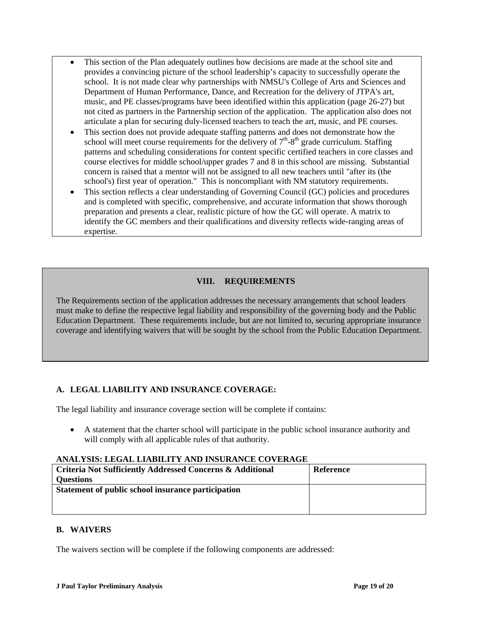- This section of the Plan adequately outlines how decisions are made at the school site and provides a convincing picture of the school leadership's capacity to successfully operate the school. It is not made clear why partnerships with NMSU's College of Arts and Sciences and Department of Human Performance, Dance, and Recreation for the delivery of JTPA's art, music, and PE classes/programs have been identified within this application (page 26-27) but not cited as partners in the Partnership section of the application. The application also does not articulate a plan for securing duly-licensed teachers to teach the art, music, and PE courses.
- This section does not provide adequate staffing patterns and does not demonstrate how the school will meet course requirements for the delivery of  $7<sup>th</sup>-8<sup>th</sup>$  grade curriculum. Staffing patterns and scheduling considerations for content specific certified teachers in core classes and course electives for middle school/upper grades 7 and 8 in this school are missing. Substantial concern is raised that a mentor will not be assigned to all new teachers until "after its (the school's) first year of operation." This is noncompliant with NM statutory requirements.
- This section reflects a clear understanding of Governing Council (GC) policies and procedures and is completed with specific, comprehensive, and accurate information that shows thorough preparation and presents a clear, realistic picture of how the GC will operate. A matrix to identify the GC members and their qualifications and diversity reflects wide-ranging areas of expertise.

# **VIII. REQUIREMENTS**

The Requirements section of the application addresses the necessary arrangements that school leaders must make to define the respective legal liability and responsibility of the governing body and the Public Education Department. These requirements include, but are not limited to, securing appropriate insurance coverage and identifying waivers that will be sought by the school from the Public Education Department.

# **A. LEGAL LIABILITY AND INSURANCE COVERAGE:**

The legal liability and insurance coverage section will be complete if contains:

• A statement that the charter school will participate in the public school insurance authority and will comply with all applicable rules of that authority.

# **ANALYSIS: LEGAL LIABILITY AND INSURANCE COVERAGE**

| <b>Criteria Not Sufficiently Addressed Concerns &amp; Additional</b><br><b>Questions</b> | Reference |
|------------------------------------------------------------------------------------------|-----------|
| Statement of public school insurance participation                                       |           |

# **B. WAIVERS**

The waivers section will be complete if the following components are addressed: